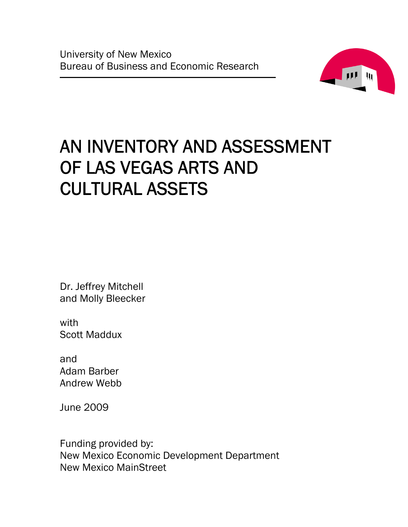

# AN INVENTORY AND ASSESSMENT OF LAS VEGAS ARTS AND CULTURAL ASSETS

Dr. Jeffrey Mitchell and Molly Bleecker

with Scott Maddux

and Adam Barber Andrew Webb

June 2009

Funding provided by: New Mexico Economic Development Department New Mexico MainStreet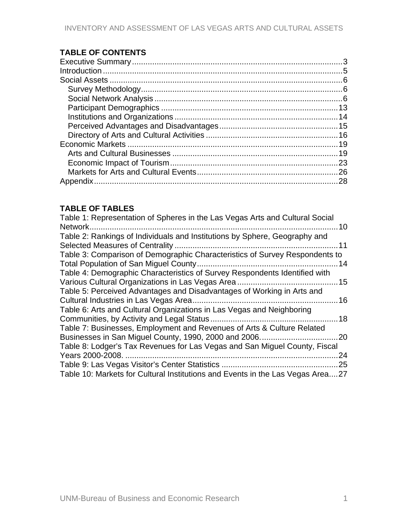# **TABLE OF CONTENTS**

### **TABLE OF TABLES**

| Table 1: Representation of Spheres in the Las Vegas Arts and Cultural Social<br>Network. |    |
|------------------------------------------------------------------------------------------|----|
| Table 2: Rankings of Individuals and Institutions by Sphere, Geography and               |    |
|                                                                                          |    |
| Table 3: Comparison of Demographic Characteristics of Survey Respondents to              |    |
|                                                                                          |    |
| Table 4: Demographic Characteristics of Survey Respondents Identified with               |    |
|                                                                                          |    |
| Table 5: Perceived Advantages and Disadvantages of Working in Arts and                   |    |
|                                                                                          |    |
| Table 6: Arts and Cultural Organizations in Las Vegas and Neighboring                    |    |
|                                                                                          |    |
| Table 7: Businesses, Employment and Revenues of Arts & Culture Related                   |    |
|                                                                                          |    |
| Table 8: Lodger's Tax Revenues for Las Vegas and San Miguel County, Fiscal               |    |
|                                                                                          | 24 |
|                                                                                          |    |
| Table 10: Markets for Cultural Institutions and Events in the Las Vegas Area27           |    |
|                                                                                          |    |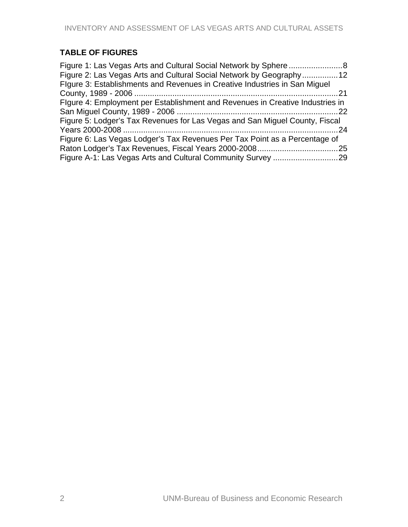# **TABLE OF FIGURES**

| Figure 2: Las Vegas Arts and Cultural Social Network by Geography12           |  |
|-------------------------------------------------------------------------------|--|
| Figure 3: Establishments and Revenues in Creative Industries in San Miguel    |  |
|                                                                               |  |
| Figure 4: Employment per Establishment and Revenues in Creative Industries in |  |
|                                                                               |  |
| Figure 5: Lodger's Tax Revenues for Las Vegas and San Miguel County, Fiscal   |  |
|                                                                               |  |
| Figure 6: Las Vegas Lodger's Tax Revenues Per Tax Point as a Percentage of    |  |
|                                                                               |  |
|                                                                               |  |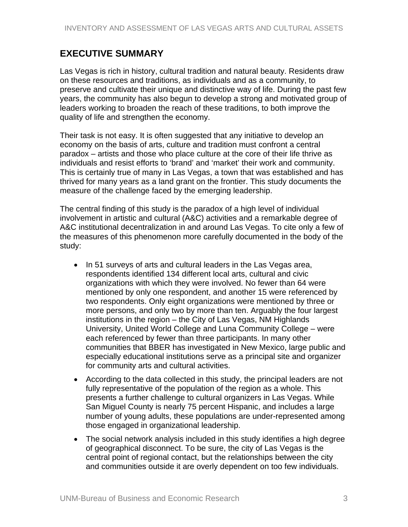## <span id="page-4-0"></span>**EXECUTIVE SUMMARY**

Las Vegas is rich in history, cultural tradition and natural beauty. Residents draw on these resources and traditions, as individuals and as a community, to preserve and cultivate their unique and distinctive way of life. During the past few years, the community has also begun to develop a strong and motivated group of leaders working to broaden the reach of these traditions, to both improve the quality of life and strengthen the economy.

Their task is not easy. It is often suggested that any initiative to develop an economy on the basis of arts, culture and tradition must confront a central paradox – artists and those who place culture at the core of their life thrive as individuals and resist efforts to 'brand' and 'market' their work and community. This is certainly true of many in Las Vegas, a town that was established and has thrived for many years as a land grant on the frontier. This study documents the measure of the challenge faced by the emerging leadership.

The central finding of this study is the paradox of a high level of individual involvement in artistic and cultural (A&C) activities and a remarkable degree of A&C institutional decentralization in and around Las Vegas. To cite only a few of the measures of this phenomenon more carefully documented in the body of the study:

- In 51 surveys of arts and cultural leaders in the Las Vegas area, respondents identified 134 different local arts, cultural and civic organizations with which they were involved. No fewer than 64 were mentioned by only one respondent, and another 15 were referenced by two respondents. Only eight organizations were mentioned by three or more persons, and only two by more than ten. Arguably the four largest institutions in the region – the City of Las Vegas, NM Highlands University, United World College and Luna Community College – were each referenced by fewer than three participants. In many other communities that BBER has investigated in New Mexico, large public and especially educational institutions serve as a principal site and organizer for community arts and cultural activities.
- According to the data collected in this study, the principal leaders are not fully representative of the population of the region as a whole. This presents a further challenge to cultural organizers in Las Vegas. While San Miguel County is nearly 75 percent Hispanic, and includes a large number of young adults, these populations are under-represented among those engaged in organizational leadership.
- The social network analysis included in this study identifies a high degree of geographical disconnect. To be sure, the city of Las Vegas is the central point of regional contact, but the relationships between the city and communities outside it are overly dependent on too few individuals.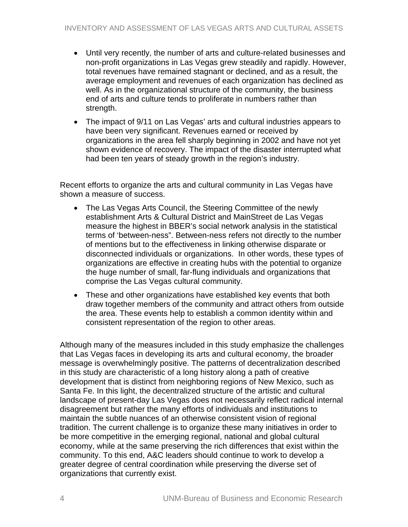- Until very recently, the number of arts and culture-related businesses and non-profit organizations in Las Vegas grew steadily and rapidly. However, total revenues have remained stagnant or declined, and as a result, the average employment and revenues of each organization has declined as well. As in the organizational structure of the community, the business end of arts and culture tends to proliferate in numbers rather than strength.
- The impact of 9/11 on Las Vegas' arts and cultural industries appears to have been very significant. Revenues earned or received by organizations in the area fell sharply beginning in 2002 and have not yet shown evidence of recovery. The impact of the disaster interrupted what had been ten years of steady growth in the region's industry.

Recent efforts to organize the arts and cultural community in Las Vegas have shown a measure of success.

- The Las Vegas Arts Council, the Steering Committee of the newly establishment Arts & Cultural District and MainStreet de Las Vegas measure the highest in BBER's social network analysis in the statistical terms of 'between-ness". Between-ness refers not directly to the number of mentions but to the effectiveness in linking otherwise disparate or disconnected individuals or organizations. In other words, these types of organizations are effective in creating hubs with the potential to organize the huge number of small, far-flung individuals and organizations that comprise the Las Vegas cultural community.
- These and other organizations have established key events that both draw together members of the community and attract others from outside the area. These events help to establish a common identity within and consistent representation of the region to other areas.

Although many of the measures included in this study emphasize the challenges that Las Vegas faces in developing its arts and cultural economy, the broader message is overwhelmingly positive. The patterns of decentralization described in this study are characteristic of a long history along a path of creative development that is distinct from neighboring regions of New Mexico, such as Santa Fe. In this light, the decentralized structure of the artistic and cultural landscape of present-day Las Vegas does not necessarily reflect radical internal disagreement but rather the many efforts of individuals and institutions to maintain the subtle nuances of an otherwise consistent vision of regional tradition. The current challenge is to organize these many initiatives in order to be more competitive in the emerging regional, national and global cultural economy, while at the same preserving the rich differences that exist within the community. To this end, A&C leaders should continue to work to develop a greater degree of central coordination while preserving the diverse set of organizations that currently exist.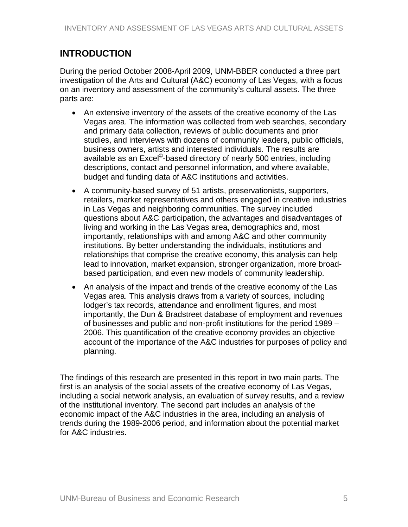# <span id="page-6-0"></span>**INTRODUCTION**

During the period October 2008-April 2009, UNM-BBER conducted a three part investigation of the Arts and Cultural (A&C) economy of Las Vegas, with a focus on an inventory and assessment of the community's cultural assets. The three parts are:

- An extensive inventory of the assets of the creative economy of the Las Vegas area. The information was collected from web searches, secondary and primary data collection, reviews of public documents and prior studies, and interviews with dozens of community leaders, public officials, business owners, artists and interested individuals. The results are available as an Excel<sup>©</sup>-based directory of nearly 500 entries, including descriptions, contact and personnel information, and where available, budget and funding data of A&C institutions and activities.
- A community-based survey of 51 artists, preservationists, supporters, retailers, market representatives and others engaged in creative industries in Las Vegas and neighboring communities. The survey included questions about A&C participation, the advantages and disadvantages of living and working in the Las Vegas area, demographics and, most importantly, relationships with and among A&C and other community institutions. By better understanding the individuals, institutions and relationships that comprise the creative economy, this analysis can help lead to innovation, market expansion, stronger organization, more broadbased participation, and even new models of community leadership.
- An analysis of the impact and trends of the creative economy of the Las Vegas area. This analysis draws from a variety of sources, including lodger's tax records, attendance and enrollment figures, and most importantly, the Dun & Bradstreet database of employment and revenues of businesses and public and non-profit institutions for the period 1989 – 2006. This quantification of the creative economy provides an objective account of the importance of the A&C industries for purposes of policy and planning.

The findings of this research are presented in this report in two main parts. The first is an analysis of the social assets of the creative economy of Las Vegas, including a social network analysis, an evaluation of survey results, and a review of the institutional inventory. The second part includes an analysis of the economic impact of the A&C industries in the area, including an analysis of trends during the 1989-2006 period, and information about the potential market for A&C industries.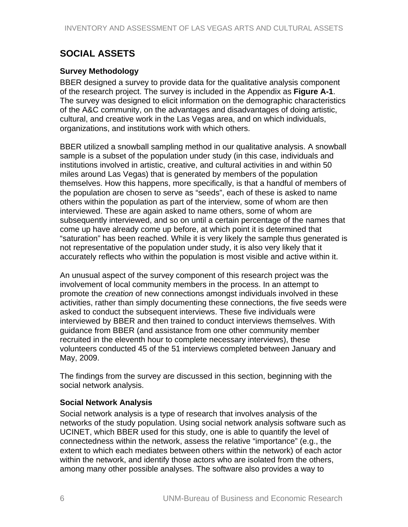# <span id="page-7-0"></span>**SOCIAL ASSETS**

#### **Survey Methodology**

BBER designed a survey to provide data for the qualitative analysis component of the research project. The survey is included in the Appendix as **Figure A-1**. The survey was designed to elicit information on the demographic characteristics of the A&C community, on the advantages and disadvantages of doing artistic, cultural, and creative work in the Las Vegas area, and on which individuals, organizations, and institutions work with which others.

BBER utilized a snowball sampling method in our qualitative analysis. A snowball sample is a subset of the population under study (in this case, individuals and institutions involved in artistic, creative, and cultural activities in and within 50 miles around Las Vegas) that is generated by members of the population themselves. How this happens, more specifically, is that a handful of members of the population are chosen to serve as "seeds", each of these is asked to name others within the population as part of the interview, some of whom are then interviewed. These are again asked to name others, some of whom are subsequently interviewed, and so on until a certain percentage of the names that come up have already come up before, at which point it is determined that "saturation" has been reached. While it is very likely the sample thus generated is not representative of the population under study, it is also very likely that it accurately reflects who within the population is most visible and active within it.

An unusual aspect of the survey component of this research project was the involvement of local community members in the process. In an attempt to promote the *creation* of new connections amongst individuals involved in these activities, rather than simply documenting these connections, the five seeds were asked to conduct the subsequent interviews. These five individuals were interviewed by BBER and then trained to conduct interviews themselves. With guidance from BBER (and assistance from one other community member recruited in the eleventh hour to complete necessary interviews), these volunteers conducted 45 of the 51 interviews completed between January and May, 2009.

The findings from the survey are discussed in this section, beginning with the social network analysis.

#### **Social Network Analysis**

Social network analysis is a type of research that involves analysis of the networks of the study population. Using social network analysis software such as UCINET, which BBER used for this study, one is able to quantify the level of connectedness within the network, assess the relative "importance" (e.g., the extent to which each mediates between others within the network) of each actor within the network, and identify those actors who are isolated from the others, among many other possible analyses. The software also provides a way to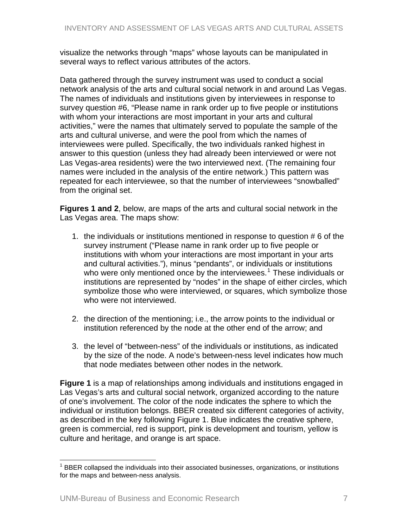<span id="page-8-0"></span>visualize the networks through "maps" whose layouts can be manipulated in several ways to reflect various attributes of the actors.

Data gathered through the survey instrument was used to conduct a social network analysis of the arts and cultural social network in and around Las Vegas. The names of individuals and institutions given by interviewees in response to survey question #6, "Please name in rank order up to five people or institutions with whom your interactions are most important in your arts and cultural activities," were the names that ultimately served to populate the sample of the arts and cultural universe, and were the pool from which the names of interviewees were pulled. Specifically, the two individuals ranked highest in answer to this question (unless they had already been interviewed or were not Las Vegas-area residents) were the two interviewed next. (The remaining four names were included in the analysis of the entire network.) This pattern was repeated for each interviewee, so that the number of interviewees "snowballed" from the original set.

**Figures 1 and 2**, below, are maps of the arts and cultural social network in the Las Vegas area. The maps show:

- 1. the individuals or institutions mentioned in response to question # 6 of the survey instrument ("Please name in rank order up to five people or institutions with whom your interactions are most important in your arts and cultural activities."), minus "pendants", or individuals or institutions who were only mentioned once by the interviewees.<sup>[1](#page-8-0)</sup> These individuals or institutions are represented by "nodes" in the shape of either circles, which symbolize those who were interviewed, or squares, which symbolize those who were not interviewed.
- 2. the direction of the mentioning; i.e., the arrow points to the individual or institution referenced by the node at the other end of the arrow; and
- 3. the level of "between-ness" of the individuals or institutions, as indicated by the size of the node. A node's between-ness level indicates how much that node mediates between other nodes in the network.

**Figure 1** is a map of relationships among individuals and institutions engaged in Las Vegas's arts and cultural social network, organized according to the nature of one's involvement. The color of the node indicates the sphere to which the individual or institution belongs. BBER created six different categories of activity, as described in the key following Figure 1. Blue indicates the creative sphere, green is commercial, red is support, pink is development and tourism, yellow is culture and heritage, and orange is art space.

 $\overline{a}$ <sup>1</sup> BBER collapsed the individuals into their associated businesses, organizations, or institutions for the maps and between-ness analysis.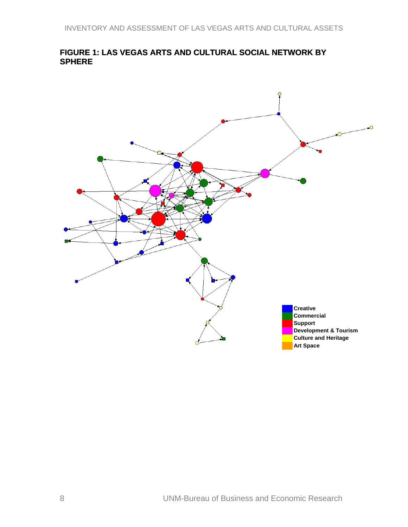#### <span id="page-9-0"></span>**FIGURE 1: LAS VEGAS ARTS AND CULTURAL SOCIAL NETWORK BY SPHERE**

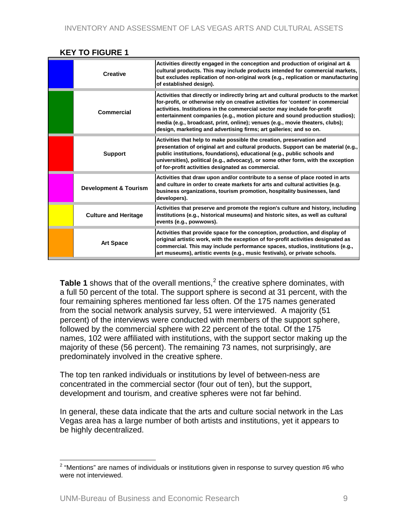#### **KEY TO FIGURE 1**

<span id="page-10-0"></span>

| <b>Creative</b>                  | Activities directly engaged in the conception and production of original art &<br>cultural products. This may include products intended for commercial markets,<br>but excludes replication of non-original work (e.g., replication or manufacturing)<br>of established design).                                                                                                                                                                                                            |
|----------------------------------|---------------------------------------------------------------------------------------------------------------------------------------------------------------------------------------------------------------------------------------------------------------------------------------------------------------------------------------------------------------------------------------------------------------------------------------------------------------------------------------------|
| Commercial                       | Activities that directly or indirectly bring art and cultural products to the market<br>for-profit, or otherwise rely on creative activities for 'content' in commercial<br>activities. Institutions in the commercial sector may include for-profit<br>entertainment companies (e.g., motion picture and sound production studios);<br>media (e.g., broadcast, print, online); venues (e.g., movie theaters, clubs);<br>design, marketing and advertising firms; art galleries; and so on. |
| <b>Support</b>                   | Activities that help to make possible the creation, preservation and<br>presentation of original art and cultural products. Support can be material (e.g.,<br>public institutions, foundations), educational (e.g., public schools and<br>universities), political (e.g., advocacy), or some other form, with the exception<br>of for-profit activities designated as commercial.                                                                                                           |
| <b>Development &amp; Tourism</b> | Activities that draw upon and/or contribute to a sense of place rooted in arts<br>and culture in order to create markets for arts and cultural activities (e.g.<br>business organizations, tourism promotion, hospitality businesses, land<br>developers).                                                                                                                                                                                                                                  |
| <b>Culture and Heritage</b>      | Activities that preserve and promote the region's culture and history, including<br>institutions (e.g., historical museums) and historic sites, as well as cultural<br>events (e.g., powwows).                                                                                                                                                                                                                                                                                              |
| <b>Art Space</b>                 | Activities that provide space for the conception, production, and display of<br>original artistic work, with the exception of for-profit activities designated as<br>commercial. This may include performance spaces, studios, institutions (e.g.,<br>art museums), artistic events (e.g., music festivals), or private schools.                                                                                                                                                            |

Table 1 shows that of the overall mentions,<sup>[2](#page-10-0)</sup> the creative sphere dominates, with a full 50 percent of the total. The support sphere is second at 31 percent, with the four remaining spheres mentioned far less often. Of the 175 names generated from the social network analysis survey, 51 were interviewed. A majority (51 percent) of the interviews were conducted with members of the support sphere, followed by the commercial sphere with 22 percent of the total. Of the 175 names, 102 were affiliated with institutions, with the support sector making up the majority of these (56 percent). The remaining 73 names, not surprisingly, are predominately involved in the creative sphere.

The top ten ranked individuals or institutions by level of between-ness are concentrated in the commercial sector (four out of ten), but the support, development and tourism, and creative spheres were not far behind.

In general, these data indicate that the arts and culture social network in the Las Vegas area has a large number of both artists and institutions, yet it appears to be highly decentralized.

 2 "Mentions" are names of individuals or institutions given in response to survey question #6 who were not interviewed.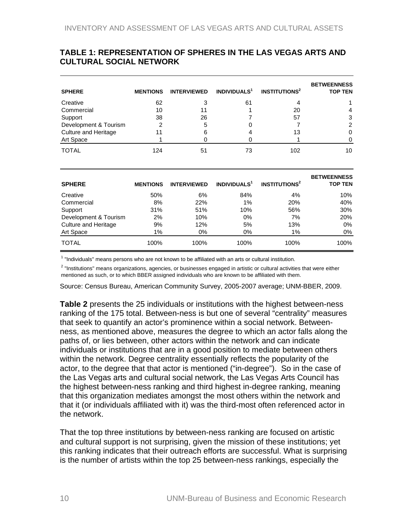#### <span id="page-11-0"></span>**TABLE 1: REPRESENTATION OF SPHERES IN THE LAS VEGAS ARTS AND CULTURAL SOCIAL NETWORK**

| <b>SPHERE</b>               | <b>MENTIONS</b> | <b>INTERVIEWED</b> | INDIVIDUALS <sup>1</sup> | <b>INSTITUTIONS</b> <sup>2</sup> | <b>BETWEENNESS</b><br><b>TOP TEN</b> |
|-----------------------------|-----------------|--------------------|--------------------------|----------------------------------|--------------------------------------|
| Creative                    | 62              |                    | 61                       | 4                                |                                      |
| Commercial                  | 10              | 11                 |                          | 20                               |                                      |
| Support                     | 38              | 26                 |                          | 57                               | 3                                    |
| Development & Tourism       | າ               | 5                  |                          |                                  |                                      |
| <b>Culture and Heritage</b> | 11              | 6                  | 4                        | 13                               |                                      |
| Art Space                   |                 |                    |                          |                                  |                                      |
| TOTAL                       | 124             | 51                 | 73                       | 102                              | 10                                   |

| <b>SPHERE</b>               | <b>MENTIONS</b> | <b>INTERVIEWED</b> | INDIVIDUALS <sup>1</sup> | <b>INSTITUTIONS<sup>2</sup></b> | <b>BETWEENNESS</b><br><b>TOP TEN</b> |
|-----------------------------|-----------------|--------------------|--------------------------|---------------------------------|--------------------------------------|
| Creative                    | 50%             | 6%                 | 84%                      | 4%                              | 10%                                  |
| Commercial                  | 8%              | 22%                | 1%                       | 20%                             | 40%                                  |
| Support                     | 31%             | 51%                | 10%                      | 56%                             | 30%                                  |
| Development & Tourism       | 2%              | 10%                | 0%                       | 7%                              | 20%                                  |
| <b>Culture and Heritage</b> | 9%              | 12%                | 5%                       | 13%                             | 0%                                   |
| Art Space                   | 1%              | 0%                 | $0\%$                    | 1%                              | 0%                                   |
| <b>TOTAL</b>                | 100%            | 100%               | 100%                     | 100%                            | 100%                                 |

 $1$  "Individuals" means persons who are not known to be affiliated with an arts or cultural institution.

<sup>2</sup> "Institutions" means organizations, agencies, or businesses engaged in artistic or cultural activities that were either mentioned as such, or to which BBER assigned individuals who are known to be affiliated with them.

Source: Census Bureau, American Community Survey, 2005-2007 average; UNM-BBER, 2009.

**Table 2** presents the 25 individuals or institutions with the highest between-ness ranking of the 175 total. Between-ness is but one of several "centrality" measures that seek to quantify an actor's prominence within a social network. Betweenness, as mentioned above, measures the degree to which an actor falls along the paths of, or lies between, other actors within the network and can indicate individuals or institutions that are in a good position to mediate between others within the network. Degree centrality essentially reflects the popularity of the actor, to the degree that that actor is mentioned ("in-degree"). So in the case of the Las Vegas arts and cultural social network, the Las Vegas Arts Council has the highest between-ness ranking and third highest in-degree ranking, meaning that this organization mediates amongst the most others within the network and that it (or individuals affiliated with it) was the third-most often referenced actor in the network.

That the top three institutions by between-ness ranking are focused on artistic and cultural support is not surprising, given the mission of these institutions; yet this ranking indicates that their outreach efforts are successful. What is surprising is the number of artists within the top 25 between-ness rankings, especially the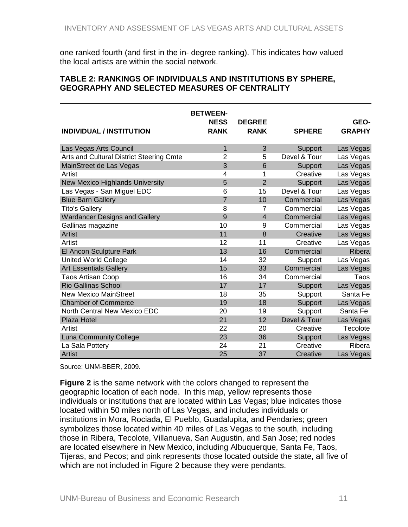<span id="page-12-0"></span>one ranked fourth (and first in the in- degree ranking). This indicates how valued the local artists are within the social network.

#### **TABLE 2: RANKINGS OF INDIVIDUALS AND INSTITUTIONS BY SPHERE, GEOGRAPHY AND SELECTED MEASURES OF CENTRALITY**

|                                          | <b>BETWEEN-</b> |                |               |               |
|------------------------------------------|-----------------|----------------|---------------|---------------|
|                                          | <b>NESS</b>     | <b>DEGREE</b>  |               | GEO-          |
| <b>INDIVIDUAL / INSTITUTION</b>          | <b>RANK</b>     | <b>RANK</b>    | <b>SPHERE</b> | <b>GRAPHY</b> |
| Las Vegas Arts Council                   | 1               | 3              | Support       | Las Vegas     |
| Arts and Cultural District Steering Cmte | $\overline{2}$  | 5              | Devel & Tour  | Las Vegas     |
| MainStreet de Las Vegas                  | 3               | 6              | Support       | Las Vegas     |
| Artist                                   | 4               | 1              | Creative      | Las Vegas     |
| New Mexico Highlands University          | 5               | $\overline{2}$ | Support       | Las Vegas     |
| Las Vegas - San Miguel EDC               | 6               | 15             | Devel & Tour  | Las Vegas     |
| <b>Blue Barn Gallery</b>                 | $\overline{7}$  | 10             | Commercial    | Las Vegas     |
| <b>Tito's Gallery</b>                    | 8               | 7              | Commercial    | Las Vegas     |
| <b>Wardancer Designs and Gallery</b>     | 9               | $\overline{4}$ | Commercial    | Las Vegas     |
| Gallinas magazine                        | 10              | 9              | Commercial    | Las Vegas     |
| <b>Artist</b>                            | 11              | 8              | Creative      | Las Vegas     |
| Artist                                   | 12              | 11             | Creative      | Las Vegas     |
| El Ancon Sculpture Park                  | 13              | 16             | Commercial    | Ribera        |
| <b>United World College</b>              | 14              | 32             | Support       | Las Vegas     |
| <b>Art Essentials Gallery</b>            | 15              | 33             | Commercial    | Las Vegas     |
| <b>Taos Artisan Coop</b>                 | 16              | 34             | Commercial    | Taos          |
| <b>Rio Gallinas School</b>               | 17              | 17             | Support       | Las Vegas     |
| <b>New Mexico MainStreet</b>             | 18              | 35             | Support       | Santa Fe      |
| <b>Chamber of Commerce</b>               | 19              | 18             | Support       | Las Vegas     |
| North Central New Mexico EDC             | 20              | 19             | Support       | Santa Fe      |
| Plaza Hotel                              | 21              | 12             | Devel & Tour  | Las Vegas     |
| Artist                                   | 22              | 20             | Creative      | Tecolote      |
| <b>Luna Community College</b>            | 23              | 36             | Support       | Las Vegas     |
| La Sala Pottery                          | 24              | 21             | Creative      | Ribera        |
| Artist                                   | 25              | 37             | Creative      | Las Vegas     |

Source: UNM-BBER, 2009.

**Figure 2** is the same network with the colors changed to represent the geographic location of each node. In this map, yellow represents those individuals or institutions that are located within Las Vegas; blue indicates those located within 50 miles north of Las Vegas, and includes individuals or institutions in Mora, Rociada, El Pueblo, Guadalupita, and Pendaries; green symbolizes those located within 40 miles of Las Vegas to the south, including those in Ribera, Tecolote, Villanueva, San Augustin, and San Jose; red nodes are located elsewhere in New Mexico, including Albuquerque, Santa Fe, Taos, Tijeras, and Pecos; and pink represents those located outside the state, all five of which are not included in Figure 2 because they were pendants.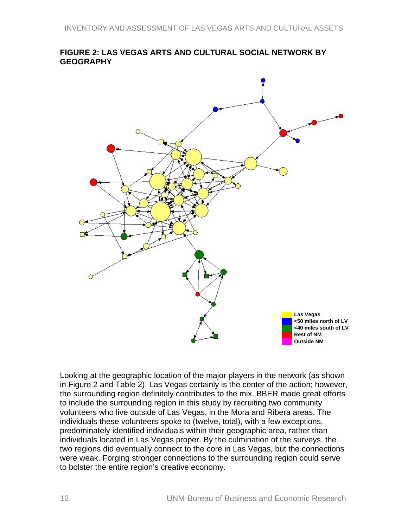#### <span id="page-13-0"></span>**FIGURE 2: LAS VEGAS ARTS AND CULTURAL SOCIAL NETWORK BY GEOGRAPHY**



Looking at the geographic location of the major players in the network (as shown in Figure 2 and Table 2), Las Vegas certainly is the center of the action; however, the surrounding region definitely contributes to the mix. BBER made great efforts to include the surrounding region in this study by recruiting two community volunteers who live outside of Las Vegas, in the Mora and Ribera areas. The individuals these volunteers spoke to (twelve, total), with a few exceptions, predominately identified individuals within their geographic area, rather than individuals located in Las Vegas proper. By the culmination of the surveys, the two regions did eventually connect to the core in Las Vegas, but the connections were weak. Forging stronger connections to the surrounding region could serve to bolster the entire region's creative economy.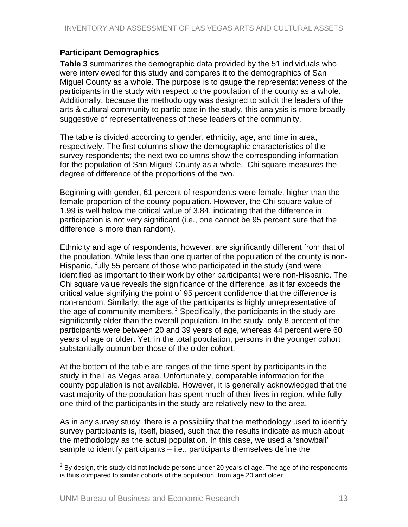#### <span id="page-14-0"></span>**Participant Demographics**

**Table 3** summarizes the demographic data provided by the 51 individuals who were interviewed for this study and compares it to the demographics of San Miguel County as a whole. The purpose is to gauge the representativeness of the participants in the study with respect to the population of the county as a whole. Additionally, because the methodology was designed to solicit the leaders of the arts & cultural community to participate in the study, this analysis is more broadly suggestive of representativeness of these leaders of the community.

The table is divided according to gender, ethnicity, age, and time in area, respectively. The first columns show the demographic characteristics of the survey respondents; the next two columns show the corresponding information for the population of San Miguel County as a whole. Chi square measures the degree of difference of the proportions of the two.

Beginning with gender, 61 percent of respondents were female, higher than the female proportion of the county population. However, the Chi square value of 1.99 is well below the critical value of 3.84, indicating that the difference in participation is not very significant (i.e., one cannot be 95 percent sure that the difference is more than random).

Ethnicity and age of respondents, however, are significantly different from that of the population. While less than one quarter of the population of the county is non-Hispanic, fully 55 percent of those who participated in the study (and were identified as important to their work by other participants) were non-Hispanic. The Chi square value reveals the significance of the difference, as it far exceeds the critical value signifying the point of 95 percent confidence that the difference is non-random. Similarly, the age of the participants is highly unrepresentative of the age of community members.<sup>[3](#page-14-0)</sup> Specifically, the participants in the study are significantly older than the overall population. In the study, only 8 percent of the participants were between 20 and 39 years of age, whereas 44 percent were 60 years of age or older. Yet, in the total population, persons in the younger cohort substantially outnumber those of the older cohort.

At the bottom of the table are ranges of the time spent by participants in the study in the Las Vegas area. Unfortunately, comparable information for the county population is not available. However, it is generally acknowledged that the vast majority of the population has spent much of their lives in region, while fully one-third of the participants in the study are relatively new to the area.

As in any survey study, there is a possibility that the methodology used to identify survey participants is, itself, biased, such that the results indicate as much about the methodology as the actual population. In this case, we used a 'snowball' sample to identify participants – i.e., participants themselves define the

 3 By design, this study did not include persons under 20 years of age. The age of the respondents is thus compared to similar cohorts of the population, from age 20 and older.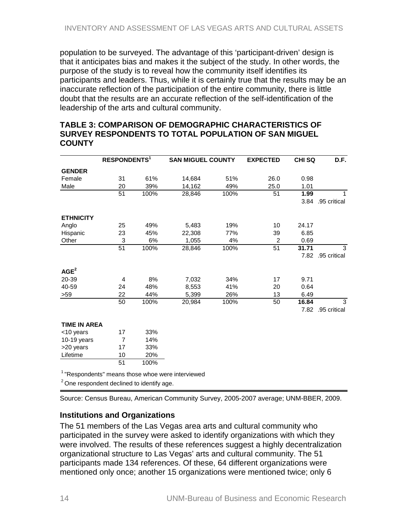<span id="page-15-0"></span>population to be surveyed. The advantage of this 'participant-driven' design is that it anticipates bias and makes it the subject of the study. In other words, the purpose of the study is to reveal how the community itself identifies its participants and leaders. Thus, while it is certainly true that the results may be an inaccurate reflection of the participation of the entire community, there is little doubt that the results are an accurate reflection of the self-identification of the leadership of the arts and cultural community.

#### **TABLE 3: COMPARISON OF DEMOGRAPHIC CHARACTERISTICS OF SURVEY RESPONDENTS TO TOTAL POPULATION OF SAN MIGUEL COUNTY**

|                              | RESPONDENTS <sup>1</sup> |                      | <b>SAN MIGUEL COUNTY</b>     |      | <b>EXPECTED</b> | <b>CHISQ</b> | D.F.         |
|------------------------------|--------------------------|----------------------|------------------------------|------|-----------------|--------------|--------------|
| <b>GENDER</b>                |                          |                      |                              |      |                 |              |              |
| Female                       | 31                       | 61%                  | 14,684                       | 51%  | 26.0            | 0.98         |              |
| Male                         | 20                       | 39%                  | 14,162                       | 49%  | 25.0            | 1.01         |              |
|                              | 51                       | 100%                 | 28,846                       | 100% | 51              | 1.99         | 1            |
|                              |                          |                      |                              |      |                 | 3.84         | .95 critical |
| <b>ETHNICITY</b>             |                          |                      |                              |      |                 |              |              |
| Anglo                        | 25                       | 49%                  | 5,483                        | 19%  | 10              | 24.17        |              |
| Hispanic                     | 23                       | 45%                  | 22,308                       | 77%  | 39              | 6.85         |              |
| Other                        | 3                        | 6%                   | 1,055                        | 4%   | 2               | 0.69         |              |
|                              | 51                       | 100%                 | 28,846                       | 100% | 51              | 31.71        | 3            |
|                              |                          |                      |                              |      |                 | 7.82         | .95 critical |
| AGE <sup>2</sup>             |                          |                      |                              |      |                 |              |              |
| 20-39                        | $\overline{4}$           | 8%                   | 7,032                        | 34%  | 17              | 9.71         |              |
| 40-59                        | 24                       | 48%                  | 8,553                        | 41%  | 20              | 0.64         |              |
| $>59$                        | 22                       | 44%                  | 5,399                        | 26%  | 13              | 6.49         |              |
|                              | 50                       | 100%                 | 20,984                       | 100% | 50              | 16.84        | 3            |
|                              |                          |                      |                              |      |                 | 7.82         | .95 critical |
| <b>TIME IN AREA</b>          |                          |                      |                              |      |                 |              |              |
| <10 years                    | 17                       | 33%                  |                              |      |                 |              |              |
| 10-19 years                  | 7                        | 14%                  |                              |      |                 |              |              |
| >20 years                    | 17                       | 33%                  |                              |      |                 |              |              |
| Lifetime                     | 10                       | 20%                  |                              |      |                 |              |              |
|                              | 51                       | 100%                 |                              |      |                 |              |              |
| $1 \cdot n$<br>والمتعصم المن |                          | $41-$<br>والمستطرفات | والمستحدث والمستحقق والمسائد |      |                 |              |              |

'Respondents" means those whoe were interviewed

 $2$  One respondent declined to identify age.

Source: Census Bureau, American Community Survey, 2005-2007 average; UNM-BBER, 2009.

#### **Institutions and Organizations**

The 51 members of the Las Vegas area arts and cultural community who participated in the survey were asked to identify organizations with which they were involved. The results of these references suggest a highly decentralization organizational structure to Las Vegas' arts and cultural community. The 51 participants made 134 references. Of these, 64 different organizations were mentioned only once; another 15 organizations were mentioned twice; only 6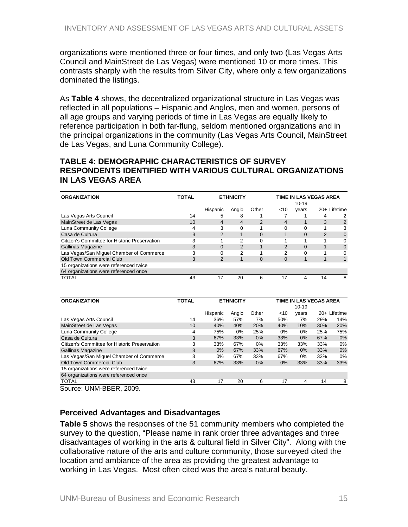<span id="page-16-0"></span>organizations were mentioned three or four times, and only two (Las Vegas Arts Council and MainStreet de Las Vegas) were mentioned 10 or more times. This contrasts sharply with the results from Silver City, where only a few organizations dominated the listings.

As **Table 4** shows, the decentralized organizational structure in Las Vegas was reflected in all populations – Hispanic and Anglos, men and women, persons of all age groups and varying periods of time in Las Vegas are equally likely to reference participation in both far-flung, seldom mentioned organizations and in the principal organizations in the community (Las Vegas Arts Council, MainStreet de Las Vegas, and Luna Community College).

#### **TABLE 4: DEMOGRAPHIC CHARACTERISTICS OF SURVEY RESPONDENTS IDENTIFIED WITH VARIOUS CULTURAL ORGANIZATIONS IN LAS VEGAS AREA**

| <b>ORGANIZATION</b>                           | <b>TOTAL</b><br><b>ETHNICITY</b> |          |               |          | TIME IN LAS VEGAS AREA<br>$10 - 19$ |          |               |               |
|-----------------------------------------------|----------------------------------|----------|---------------|----------|-------------------------------------|----------|---------------|---------------|
|                                               |                                  | Hispanic | Anglo         | Other    | $<$ 10                              | vears    |               | 20+ Lifetime  |
| Las Vegas Arts Council                        | 14                               | 5        | 8             |          |                                     |          |               | 2             |
| MainStreet de Las Vegas                       | 10                               | 4        | 4             | 2        | 4                                   |          | 3             | $\mathcal{P}$ |
| Luna Community College                        | 4                                | 3        |               |          |                                     |          |               | 3             |
| Casa de Cultura                               | 3                                | 2        |               | $\Omega$ |                                     | 0        | $\mathcal{P}$ | 0             |
| Citizen's Committee for Historic Preservation |                                  |          | 2             |          |                                     |          |               | 0             |
| <b>Gallinas Magazine</b>                      |                                  | $\Omega$ | $\mathcal{P}$ |          | $\mathcal{P}$                       | $\Omega$ |               | 0             |
| Las Vegas/San Miguel Chamber of Commerce      |                                  |          | 2             |          | 2                                   | U        |               | 0             |
| Old Town Commercial Club                      | 3                                | 2        |               | $\Omega$ | $\Omega$                            |          |               |               |
| 15 organizations were referenced twice        |                                  |          |               |          |                                     |          |               |               |
| 64 organizations were referenced once         |                                  |          |               |          |                                     |          |               |               |
| <b>TOTAL</b>                                  | 43                               |          | 20            | 6        | 17                                  | 4        | 14            | 8             |

| <b>ORGANIZATION</b>                           | <b>TOTAL</b><br><b>ETHNICITY</b> |          |       |       | TIME IN LAS VEGAS AREA |         |       |          |
|-----------------------------------------------|----------------------------------|----------|-------|-------|------------------------|---------|-------|----------|
|                                               |                                  |          |       |       |                        | $10-19$ |       |          |
|                                               |                                  | Hispanic | Anglo | Other | $<$ 10                 | years   | $20+$ | Lifetime |
| Las Vegas Arts Council                        | 14                               | 36%      | 57%   | 7%    | 50%                    | 7%      | 29%   | 14%      |
| MainStreet de Las Vegas                       | 10                               | 40%      | 40%   | 20%   | 40%                    | 10%     | 30%   | 20%      |
| Luna Community College                        | 4                                | 75%      | $0\%$ | 25%   | 0%                     | $0\%$   | 25%   | 75%      |
| Casa de Cultura                               | 3                                | 67%      | 33%   | 0%    | 33%                    | $0\%$   | 67%   | 0%       |
| Citizen's Committee for Historic Preservation | 3                                | 33%      | 67%   | $0\%$ | 33%                    | 33%     | 33%   | 0%       |
| <b>Gallinas Magazine</b>                      | 3                                | 0%       | 67%   | 33%   | 67%                    | $0\%$   | 33%   | 0%       |
| Las Vegas/San Miguel Chamber of Commerce      | 3                                | $0\%$    | 67%   | 33%   | 67%                    | $0\%$   | 33%   | 0%       |
| Old Town Commercial Club                      | 3                                | 67%      | 33%   | $0\%$ | $0\%$                  | 33%     | 33%   | 33%      |
| 15 organizations were referenced twice        |                                  |          |       |       |                        |         |       |          |
| 64 organizations were referenced once         |                                  |          |       |       |                        |         |       |          |
| <b>TOTAL</b>                                  | 43                               | 17       | 20    | 6     | 17                     | 4       | 14    | 8        |

Source: UNM-BBER, 2009.

#### **Perceived Advantages and Disadvantages**

**Table 5** shows the responses of the 51 community members who completed the survey to the question, "Please name in rank order three advantages and three disadvantages of working in the arts & cultural field in Silver City". Along with the collaborative nature of the arts and culture community, those surveyed cited the location and ambiance of the area as providing the greatest advantage to working in Las Vegas. Most often cited was the area's natural beauty.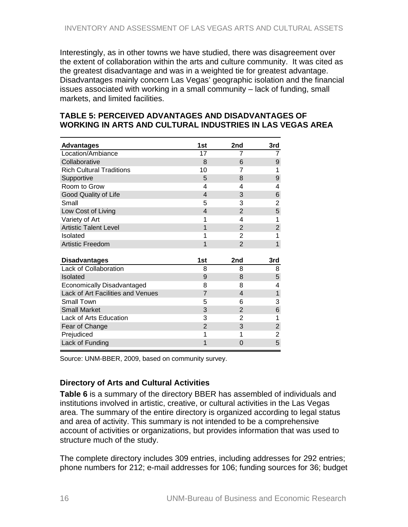<span id="page-17-0"></span>Interestingly, as in other towns we have studied, there was disagreement over the extent of collaboration within the arts and culture community. It was cited as the greatest disadvantage and was in a weighted tie for greatest advantage. Disadvantages mainly concern Las Vegas' geographic isolation and the financial issues associated with working in a small community – lack of funding, small markets, and limited facilities.

| <b>Advantages</b>                 | 1st            | 2nd                      | 3rd            |
|-----------------------------------|----------------|--------------------------|----------------|
| Location/Ambiance                 | 17             | 7                        | 7              |
| Collaborative                     | 8              | 6                        | 9              |
| <b>Rich Cultural Traditions</b>   | 10             | 7                        | 1              |
| Supportive                        | 5              | 8                        | 9              |
| Room to Grow                      | 4              | 4                        | 4              |
| Good Quality of Life              | 4              | 3                        | 6              |
| Small                             | 5              | 3                        | $\overline{2}$ |
| Low Cost of Living                | 4              | $\overline{2}$           | 5              |
| Variety of Art                    | 1              | 4                        | 1              |
| <b>Artistic Talent Level</b>      | 1              | $\overline{2}$           | $\overline{2}$ |
| Isolated                          | 1              | $\overline{2}$           | 1              |
| <b>Artistic Freedom</b>           | 1              | $\overline{2}$           | $\mathbf{1}$   |
| <b>Disadvantages</b>              | 1st            | 2nd                      | 3rd            |
| Lack of Collaboration             | 8              | 8                        | 8              |
| Isolated                          | 9              | 8                        | 5              |
| <b>Economically Disadvantaged</b> | 8              | 8                        | 4              |
| Lack of Art Facilities and Venues | 7              | $\overline{\mathcal{A}}$ | 1              |
| Small Town                        | 5              | 6                        | 3              |
| <b>Small Market</b>               | 3              | $\overline{2}$           | 6              |
| <b>Lack of Arts Education</b>     | 3              | 2                        | 1              |
| Fear of Change                    | $\overline{2}$ | 3                        | $\overline{2}$ |
| Prejudiced                        | 1              | 1                        | $\overline{2}$ |
| Lack of Funding                   | 1              | 0                        | 5              |

#### **TABLE 5: PERCEIVED ADVANTAGES AND DISADVANTAGES OF WORKING IN ARTS AND CULTURAL INDUSTRIES IN LAS VEGAS AREA**

Source: UNM-BBER, 2009, based on community survey.

#### **Directory of Arts and Cultural Activities**

**Table 6** is a summary of the directory BBER has assembled of individuals and institutions involved in artistic, creative, or cultural activities in the Las Vegas area. The summary of the entire directory is organized according to legal status and area of activity. This summary is not intended to be a comprehensive account of activities or organizations, but provides information that was used to structure much of the study.

The complete directory includes 309 entries, including addresses for 292 entries; phone numbers for 212; e-mail addresses for 106; funding sources for 36; budget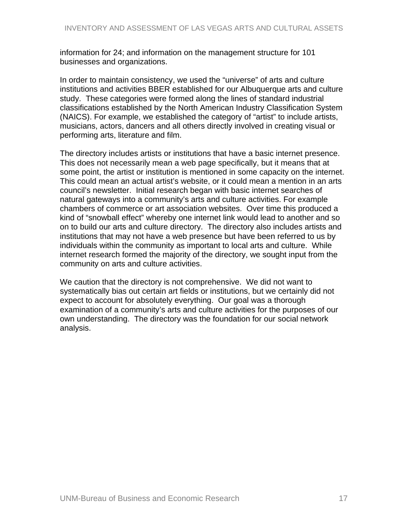information for 24; and information on the management structure for 101 businesses and organizations.

In order to maintain consistency, we used the "universe" of arts and culture institutions and activities BBER established for our Albuquerque arts and culture study. These categories were formed along the lines of standard industrial classifications established by the North American Industry Classification System (NAICS). For example, we established the category of "artist" to include artists, musicians, actors, dancers and all others directly involved in creating visual or performing arts, literature and film.

The directory includes artists or institutions that have a basic internet presence. This does not necessarily mean a web page specifically, but it means that at some point, the artist or institution is mentioned in some capacity on the internet. This could mean an actual artist's website, or it could mean a mention in an arts council's newsletter. Initial research began with basic internet searches of natural gateways into a community's arts and culture activities. For example chambers of commerce or art association websites. Over time this produced a kind of "snowball effect" whereby one internet link would lead to another and so on to build our arts and culture directory. The directory also includes artists and institutions that may not have a web presence but have been referred to us by individuals within the community as important to local arts and culture. While internet research formed the majority of the directory, we sought input from the community on arts and culture activities.

We caution that the directory is not comprehensive. We did not want to systematically bias out certain art fields or institutions, but we certainly did not expect to account for absolutely everything. Our goal was a thorough examination of a community's arts and culture activities for the purposes of our own understanding. The directory was the foundation for our social network analysis.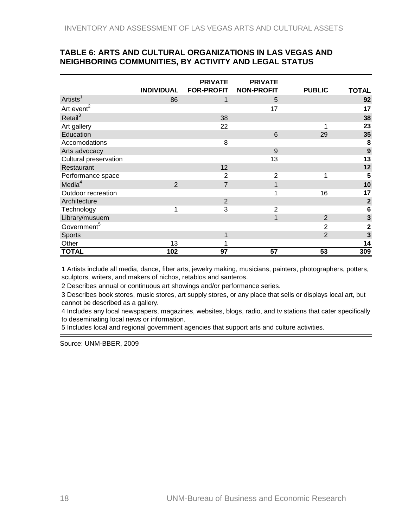#### <span id="page-19-0"></span>**TABLE 6: ARTS AND CULTURAL ORGANIZATIONS IN LAS VEGAS AND NEIGHBORING COMMUNITIES, BY ACTIVITY AND LEGAL STATUS**

|                         |                   | <b>PRIVATE</b>    | <b>PRIVATE</b>    |                |                         |
|-------------------------|-------------------|-------------------|-------------------|----------------|-------------------------|
|                         | <b>INDIVIDUAL</b> | <b>FOR-PROFIT</b> | <b>NON-PROFIT</b> | <b>PUBLIC</b>  | <b>TOTAL</b>            |
| Artists <sup>1</sup>    | 86                | 1                 | 5                 |                | 92                      |
| Art event <sup>2</sup>  |                   |                   | 17                |                | 17                      |
| Retail <sup>3</sup>     |                   | 38                |                   |                | 38                      |
| Art gallery             |                   | 22                |                   |                | 23                      |
| Education               |                   |                   | 6                 | 29             | 35                      |
| Accomodations           |                   | 8                 |                   |                | 8                       |
| Arts advocacy           |                   |                   | 9                 |                | $\mathbf{9}$            |
| Cultural preservation   |                   |                   | 13                |                | 13                      |
| Restaurant              |                   | 12                |                   |                | 12                      |
| Performance space       |                   | $\overline{2}$    | $\overline{2}$    | 1              | 5                       |
| Media <sup>4</sup>      | $\overline{2}$    | $\overline{7}$    | 1                 |                | 10                      |
| Outdoor recreation      |                   |                   | 1                 | 16             | 17                      |
| Architecture            |                   | 2                 |                   |                | $\overline{\mathbf{2}}$ |
| Technology              | 1                 | 3                 | $\overline{2}$    |                | $\frac{6}{3}$           |
| Library/musuem          |                   |                   | 1                 | 2              |                         |
| Government <sup>5</sup> |                   |                   |                   | $\overline{2}$ | $\overline{\mathbf{c}}$ |
| Sports                  |                   | 1                 |                   | $\overline{2}$ | $\overline{3}$          |
| Other                   | 13                |                   |                   |                | 14                      |
| <b>TOTAL</b>            | 102               | 97                | 57                | 53             | 309                     |

1 Artists include all media, dance, fiber arts, jewelry making, musicians, painters, photographers, potters, sculptors, writers, and makers of nichos, retablos and santeros.

2 Describes annual or continuous art showings and/or performance series.

3 Describes book stores, music stores, art supply stores, or any place that sells or displays local art, but cannot be described as a gallery.

4 Includes any local newspapers, magazines, websites, blogs, radio, and tv stations that cater specifically to deseminating local news or information.

5 Includes local and regional government agencies that support arts and culture activities.

Source: UNM-BBER, 2009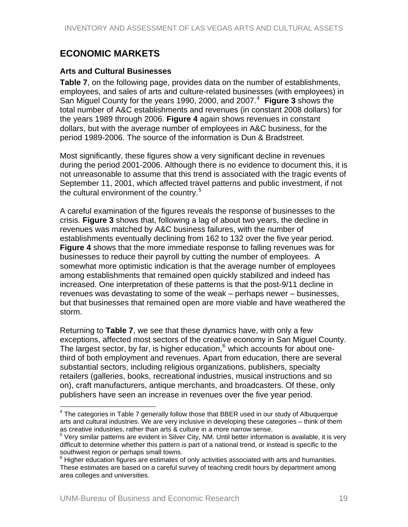# <span id="page-20-0"></span>**ECONOMIC MARKETS**

#### **Arts and Cultural Businesses**

**Table 7**, on the following page, provides data on the number of establishments, employees, and sales of arts and culture-related businesses (with employees) in San Miguel County for the years 1990, 2000, and 2007.<sup>[4](#page-20-0)</sup> Figure 3 shows the total number of A&C establishments and revenues (in constant 2008 dollars) for the years 1989 through 2006. **Figure 4** again shows revenues in constant dollars, but with the average number of employees in A&C business, for the period 1989-2006. The source of the information is Dun & Bradstreet.

Most significantly, these figures show a very significant decline in revenues during the period 2001-2006. Although there is no evidence to document this, it is not unreasonable to assume that this trend is associated with the tragic events of September 11, 2001, which affected travel patterns and public investment, if not the cultural environment of the country.<sup>[5](#page-20-0)</sup>

A careful examination of the figures reveals the response of businesses to the crisis. **Figure 3** shows that, following a lag of about two years, the decline in revenues was matched by A&C business failures, with the number of establishments eventually declining from 162 to 132 over the five year period. **Figure 4** shows that the more immediate response to falling revenues was for businesses to reduce their payroll by cutting the number of employees. A somewhat more optimistic indication is that the average number of employees among establishments that remained open quickly stabilized and indeed has increased. One interpretation of these patterns is that the post-9/11 decline in revenues was devastating to some of the weak – perhaps newer – businesses, but that businesses that remained open are more viable and have weathered the storm.

Returning to **Table 7**, we see that these dynamics have, with only a few exceptions, affected most sectors of the creative economy in San Miguel County. The largest sector, by far, is higher education, $^6$  $^6$  which accounts for about onethird of both employment and revenues. Apart from education, there are several substantial sectors, including religious organizations, publishers, specialty retailers (galleries, books, recreational industries, musical instructions and so on), craft manufacturers, antique merchants, and broadcasters. Of these, only publishers have seen an increase in revenues over the five year period.

<sup>1</sup>  $4$  The categories in Table 7 generally follow those that BBER used in our study of Albuquerque arts and cultural industries. We are very inclusive in developing these categories – think of them as creative industries, rather than arts & culture in a more narrow sense.

 $5$  Very similar patterns are evident in Silver City, NM. Until better information is available, it is very difficult to determine whether this pattern is part of a national trend, or instead is specific to the southwest region or perhaps small towns.

 $6$  Higher education figures are estimates of only activities associated with arts and humanities. These estimates are based on a careful survey of teaching credit hours by department among area colleges and universities.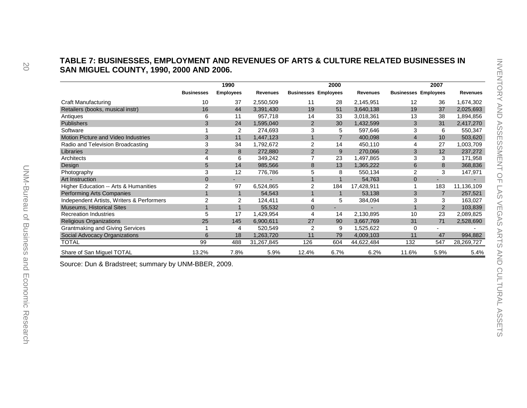<span id="page-21-0"></span>

|                                                      |                   | 1990             |                 |                             | 2000           |                 |                             | 2007           |                 |
|------------------------------------------------------|-------------------|------------------|-----------------|-----------------------------|----------------|-----------------|-----------------------------|----------------|-----------------|
|                                                      | <b>Businesses</b> | <b>Employees</b> | <b>Revenues</b> | <b>Businesses Employees</b> |                | <b>Revenues</b> | <b>Businesses Employees</b> |                | <b>Revenues</b> |
| <b>Craft Manufacturing</b>                           | 10                | 37               | 2,550,509       | 11                          | 28             | 2,145,951       | 12                          | 36             | 1,674,302       |
| Retailers (books, musical instr)                     | 16                | 44               | 3,391,430       | 19                          | 51             | 3,640,138       | 19                          | 37             | 2,025,693       |
| Antiques                                             | 6                 | 11               | 957,718         | 14                          | 33             | 3,018,361       | 13                          | 38             | 1,894,856       |
| Publishers                                           | 3                 | 24               | 1,595,040       | $\overline{2}$              | 30             | 1,432,599       | 3                           | 31             | 2,417,270       |
| Software                                             | $\mathbf{1}$      | 2                | 274,693         | 3                           | 5              | 597,646         | 3                           | 6              | 550,347         |
| Motion Picture and Video Industries                  | 3                 | 11               | 1,447,123       | $\mathbf{1}$                | $\overline{7}$ | 400,098         | $\overline{4}$              | 10             | 503,620         |
| Radio and Television Broadcasting                    | 3                 | 34               | 1,792,672       | $\overline{2}$              | 14             | 450,110         | 4                           | 27             | 1,003,709       |
| Libraries                                            | $\overline{2}$    | 8                | 272,880         | $2^{\circ}$                 | 9              | 270,066         | 3                           | 12             | 237,272         |
| Architects                                           | 4                 | 6                | 349,242         | $\overline{7}$              | 23             | 1,497,865       | 3                           | 3              | 171,958         |
| Design                                               | $5\overline{)}$   | 14               | 985,566         | 8                           | 13             | 1,365,222       | 6                           | 8              | 368,836         |
| Photography                                          | 3                 | 12               | 776,786         | 5                           | 8              | 550,134         | $\overline{2}$              | 3              | 147,971         |
| Art Instruction                                      | $\overline{0}$    | ۰.               |                 | $\mathbf{1}$                | $\mathbf{1}$   | 54,763          | $\overline{0}$              |                |                 |
| Higher Education -- Arts & Humanities                | 2                 | 97               | 6,524,865       | 2                           | 184            | 17,428,911      | $\mathbf{1}$                | 183            | 11,136,109      |
| Performing Arts Companies                            | $\overline{1}$    | $\mathbf{1}$     | 54,543          | $\mathbf{1}$                | $\mathbf{1}$   | 53,138          | 3                           | $\overline{7}$ | 257,521         |
| Independent Artists, Writers & Performers            | $\overline{2}$    | $\overline{2}$   | 124,411         | 4                           | 5              | 384,094         | 3                           | 3              | 163,027         |
| <b>Museums, Historical Sites</b>                     | $\mathbf{1}$      | $\overline{1}$   | 55,532          | $\overline{0}$              |                |                 | $\mathbf{1}$                | 2              | 103,839         |
| <b>Recreation Industries</b>                         | 5                 | 17               | 1,429,954       | 4                           | 14             | 2,130,895       | 10                          | 23             | 2,089,825       |
| <b>Religious Organizations</b>                       | 25                | 145              | 6,900,611       | 27                          | 90             | 3,667,769       | 31                          | 71             | 2,528,690       |
| <b>Grantmaking and Giving Services</b>               | $\mathbf{1}$      | 4                | 520,549         | 2                           | 9              | 1,525,622       | 0                           |                |                 |
| Social Advocacy Organizations                        | 6                 | 18               | 1,263,720       | 11                          | 79             | 4,009,103       | 11                          | 47             | 994,882         |
| <b>TOTAL</b>                                         | 99                | 488              | 31,267,845      | 126                         | 604            | 44,622,484      | 132                         | 547            | 28,269,727      |
| Share of San Miguel TOTAL                            | 13.2%             | 7.8%             | 5.9%            | 12.4%                       | 6.7%           | 6.2%            | 11.6%                       | 5.9%           | 5.4%            |
| Source: Dun & Bradstreet; summary by UNM-BBER, 2009. |                   |                  |                 |                             |                |                 |                             |                |                 |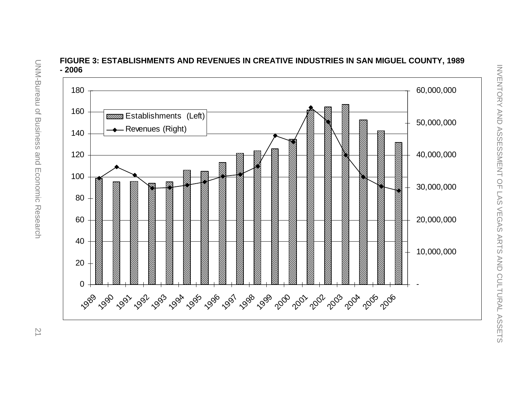<span id="page-22-0"></span>

#### **FIGURE 3: ESTABLISHMENTS AND REVENUES IN CREATIVE INDUSTRIES IN SAN MIGUEL COUNTY, 1989 - 2006**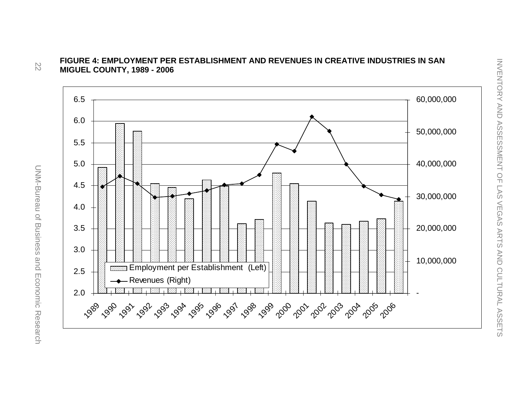

#### **FIGURE 4: EMPLOYMENT PER ESTABLISHMENT AND REVENUES IN CREATIVE INDUSTRIES IN SAN MIGUEL COUNTY, 1989 - 2006**

<span id="page-23-0"></span> $ZZ$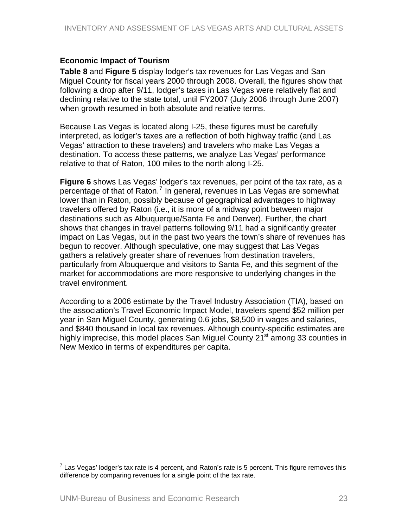#### <span id="page-24-0"></span>**Economic Impact of Tourism**

**Table 8** and **Figure 5** display lodger's tax revenues for Las Vegas and San Miguel County for fiscal years 2000 through 2008. Overall, the figures show that following a drop after 9/11, lodger's taxes in Las Vegas were relatively flat and declining relative to the state total, until FY2007 (July 2006 through June 2007) when growth resumed in both absolute and relative terms.

Because Las Vegas is located along I-25, these figures must be carefully interpreted, as lodger's taxes are a reflection of both highway traffic (and Las Vegas' attraction to these travelers) and travelers who make Las Vegas a destination. To access these patterns, we analyze Las Vegas' performance relative to that of Raton, 100 miles to the north along I-25.

**Figure 6** shows Las Vegas' lodger's tax revenues, per point of the tax rate, as a percentage of that of Raton.<sup>[7](#page-24-0)</sup> In general, revenues in Las Vegas are somewhat lower than in Raton, possibly because of geographical advantages to highway travelers offered by Raton (i.e., it is more of a midway point between major destinations such as Albuquerque/Santa Fe and Denver). Further, the chart shows that changes in travel patterns following 9/11 had a significantly greater impact on Las Vegas, but in the past two years the town's share of revenues has begun to recover. Although speculative, one may suggest that Las Vegas gathers a relatively greater share of revenues from destination travelers, particularly from Albuquerque and visitors to Santa Fe, and this segment of the market for accommodations are more responsive to underlying changes in the travel environment.

According to a 2006 estimate by the Travel Industry Association (TIA), based on the association's Travel Economic Impact Model, travelers spend \$52 million per year in San Miguel County, generating 0.6 jobs, \$8,500 in wages and salaries, and \$840 thousand in local tax revenues. Although county-specific estimates are highly imprecise, this model places San Miguel County  $21^{st}$  among 33 counties in New Mexico in terms of expenditures per capita.

 7 Las Vegas' lodger's tax rate is 4 percent, and Raton's rate is 5 percent. This figure removes this difference by comparing revenues for a single point of the tax rate.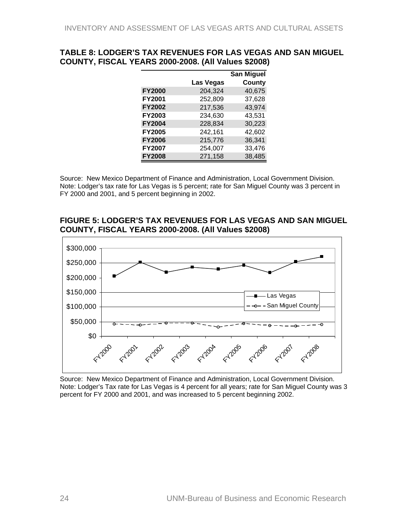#### <span id="page-25-0"></span>**TABLE 8: LODGER'S TAX REVENUES FOR LAS VEGAS AND SAN MIGUEL COUNTY, FISCAL YEARS 2000-2008. (All Values \$2008)**

|               | Las Vegas | <b>San Miguel</b><br>County |
|---------------|-----------|-----------------------------|
| <b>FY2000</b> | 204,324   | 40,675                      |
| <b>FY2001</b> | 252,809   | 37,628                      |
| <b>FY2002</b> | 217,536   | 43,974                      |
| <b>FY2003</b> | 234,630   | 43,531                      |
| <b>FY2004</b> | 228,834   | 30,223                      |
| <b>FY2005</b> | 242,161   | 42,602                      |
| <b>FY2006</b> | 215,776   | 36,341                      |
| <b>FY2007</b> | 254,007   | 33,476                      |
| <b>FY2008</b> | 271,158   | 38,485                      |

Source: New Mexico Department of Finance and Administration, Local Government Division. Note: Lodger's tax rate for Las Vegas is 5 percent; rate for San Miguel County was 3 percent in FY 2000 and 2001, and 5 percent beginning in 2002.

#### **FIGURE 5: LODGER'S TAX REVENUES FOR LAS VEGAS AND SAN MIGUEL COUNTY, FISCAL YEARS 2000-2008. (All Values \$2008)**



Source: New Mexico Department of Finance and Administration, Local Government Division. Note: Lodger's Tax rate for Las Vegas is 4 percent for all years; rate for San Miguel County was 3 percent for FY 2000 and 2001, and was increased to 5 percent beginning 2002.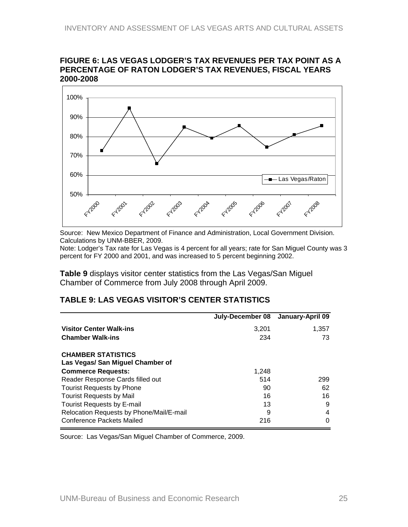

#### <span id="page-26-0"></span>**FIGURE 6: LAS VEGAS LODGER'S TAX REVENUES PER TAX POINT AS A PERCENTAGE OF RATON LODGER'S TAX REVENUES, FISCAL YEARS 2000-2008**

Source: New Mexico Department of Finance and Administration, Local Government Division. Calculations by UNM-BBER, 2009.

Note: Lodger's Tax rate for Las Vegas is 4 percent for all years; rate for San Miguel County was 3 percent for FY 2000 and 2001, and was increased to 5 percent beginning 2002.

**Table 9** displays visitor center statistics from the Las Vegas/San Miguel Chamber of Commerce from July 2008 through April 2009.

#### **TABLE 9: LAS VEGAS VISITOR'S CENTER STATISTICS**

|                                                               | July-December 08 | January-April 09 |
|---------------------------------------------------------------|------------------|------------------|
| <b>Visitor Center Walk-ins</b>                                | 3.201            | 1,357            |
| <b>Chamber Walk-ins</b>                                       | 234              | 73               |
| <b>CHAMBER STATISTICS</b><br>Las Vegas/ San Miguel Chamber of |                  |                  |
| <b>Commerce Requests:</b>                                     | 1,248            |                  |
| Reader Response Cards filled out                              | 514              | 299              |
| <b>Tourist Requests by Phone</b>                              | 90               | 62               |
| <b>Tourist Requests by Mail</b>                               | 16               | 16               |
| <b>Tourist Requests by E-mail</b>                             | 13               | 9                |
| Relocation Requests by Phone/Mail/E-mail                      | 9                | 4                |
| <b>Conference Packets Mailed</b>                              | 216              | $\Omega$         |

Source: Las Vegas/San Miguel Chamber of Commerce, 2009.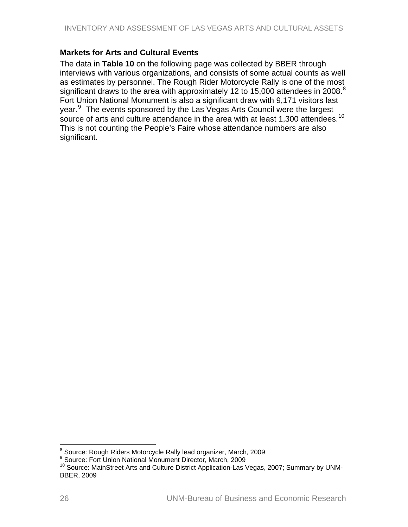#### <span id="page-27-0"></span>**Markets for Arts and Cultural Events**

The data in **Table 10** on the following page was collected by BBER through interviews with various organizations, and consists of some actual counts as well as estimates by personnel. The Rough Rider Motorcycle Rally is one of the most significant draws to the area with approximately 12 to 15,000 attendees in 200[8](#page-27-0). $8$ Fort Union National Monument is also a significant draw with 9,171 visitors last year.<sup>[9](#page-27-0)</sup> The events sponsored by the Las Vegas Arts Council were the largest source of arts and culture attendance in the area with at least 1,300 attendees.<sup>[10](#page-27-0)</sup> This is not counting the People's Faire whose attendance numbers are also significant.

 8 Source: Rough Riders Motorcycle Rally lead organizer, March, 2009

<sup>9</sup> Source: Fort Union National Monument Director, March, 2009

<sup>10</sup> Source: MainStreet Arts and Culture District Application-Las Vegas, 2007; Summary by UNM-BBER, 2009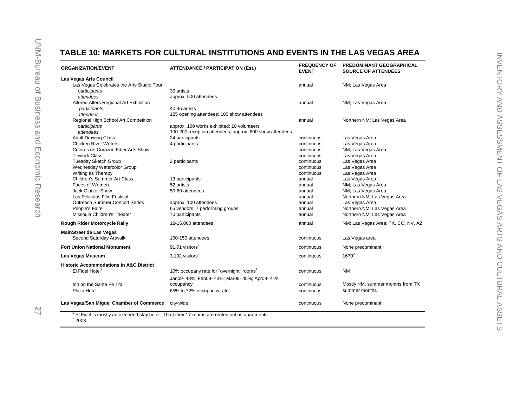#### **TABLE 10: MARKETS FOR CULTURAL INSTITUTIONS AND EVENTS IN THE LAS VEGAS AREA**

<span id="page-28-0"></span>

| Las Vegas Arts Council<br>Las Vegas Celebrates the Arts Studio Tour<br>NM; Las Vegas Area<br>annual<br>participants<br>30 artists<br>attendees<br>approx. 500 attendees<br>Altered Alters Regional Art Exhibition<br>NM; Las Vegas Area<br>annual<br>40-45 artists<br>participants<br>attendees<br>125 opening attendees; 100 show attendees<br>Regional High School Art Competition<br>Northern NM; Las Vegas Area<br>annual<br>approx. 100 works exhibited; 10 volunteers<br>participants<br>100-200 reception attendees; approx. 600 show attendees<br>attendees<br>24 particpants<br><b>Adult Drawing Class</b><br>Las Vegas Area<br>continuous<br><b>Chicken River Writers</b><br>4 participants<br>Las Vegas Area<br>continuous<br>Colores de Corazon Fiber Arts Show<br>NM; Las Vegas Area<br>continuous<br><b>Tinwork Class</b><br>Las Vegas Area<br>continuous<br><b>Tuesday Sketch Group</b><br>2 participants<br>Las Vegas Area<br>continuous<br>Wednesday Watercolor Group<br>Las Vegas Area<br>continuous<br>Writing as Therapy<br>Las Vegas Area<br>continuous<br><b>Children's Summer Art Class</b><br>Las Vegas Area<br>13 participants<br>annual<br>Faces of Women<br>52 artists<br>NM; Las Vegas Area<br>annual<br><b>Jack Glatzer Show</b><br>50-60 attendees<br>NM; Las Vegas Area<br>annual<br>Las Peliculas Film Festival<br>Northern NM; Las Vegas Area<br>annual<br><b>Outreach Summer Concert Series</b><br>Las Vegas Area<br>approx. 100 attendees<br>annual<br>People's Faire<br>65 vendors, 7 performing groups<br>Northern NM; Las Vegas Area<br>annual<br>Missoula Children's Theater<br>Northern NM; Las Vegas Area<br>70 participants<br>annual<br>Rough Rider Motorcycle Rally<br>12-15,000 attendees<br>NM; Las Vegas Area; TX, CO, NV, AZ<br>annual<br><b>MainStreet de Las Vegas</b><br>Second Saturday Artwalk<br>100-150 attendees<br>Las Vegas area<br>continuous<br>91,71 visitors <sup>2</sup><br><b>Fort Union National Monument</b><br>continuous<br>None predominant<br>3,192 visitors $2$<br>$1670^2$<br>Las Vegas Museum<br>continuous<br><b>Historic Accommodations in A&amp;C District</b><br>El Fidel Hotel <sup>1</sup><br>10% occupany rate for "overnight" rooms <sup>1</sup><br><b>NM</b><br>continuous<br>Jan09- 48%; Feb09- 43%; Mar09- 45%; Apr09- 41%<br>Inn on the Santa Fe Trail<br>Mostly NM; summer months from TX<br>continuous<br>occupancy<br>Plaza Hotel<br>65% to 72% occupancy rate<br>continuous<br>summer months | <b>ORGANIZATION/EVENT</b>                | <b>ATTENDANCE / PARTICIPATION (Est.)</b> | <b>FREQUENCY OF</b><br><b>EVENT</b> | <b>PREDOMINANT GEOGRAPHICAL</b><br><b>SOURCE OF ATTENDEES</b> |  |
|---------------------------------------------------------------------------------------------------------------------------------------------------------------------------------------------------------------------------------------------------------------------------------------------------------------------------------------------------------------------------------------------------------------------------------------------------------------------------------------------------------------------------------------------------------------------------------------------------------------------------------------------------------------------------------------------------------------------------------------------------------------------------------------------------------------------------------------------------------------------------------------------------------------------------------------------------------------------------------------------------------------------------------------------------------------------------------------------------------------------------------------------------------------------------------------------------------------------------------------------------------------------------------------------------------------------------------------------------------------------------------------------------------------------------------------------------------------------------------------------------------------------------------------------------------------------------------------------------------------------------------------------------------------------------------------------------------------------------------------------------------------------------------------------------------------------------------------------------------------------------------------------------------------------------------------------------------------------------------------------------------------------------------------------------------------------------------------------------------------------------------------------------------------------------------------------------------------------------------------------------------------------------------------------------------------------------------------------------------------------------------------------------------------------------------------------------------------------------------------|------------------------------------------|------------------------------------------|-------------------------------------|---------------------------------------------------------------|--|
|                                                                                                                                                                                                                                                                                                                                                                                                                                                                                                                                                                                                                                                                                                                                                                                                                                                                                                                                                                                                                                                                                                                                                                                                                                                                                                                                                                                                                                                                                                                                                                                                                                                                                                                                                                                                                                                                                                                                                                                                                                                                                                                                                                                                                                                                                                                                                                                                                                                                                       |                                          |                                          |                                     |                                                               |  |
|                                                                                                                                                                                                                                                                                                                                                                                                                                                                                                                                                                                                                                                                                                                                                                                                                                                                                                                                                                                                                                                                                                                                                                                                                                                                                                                                                                                                                                                                                                                                                                                                                                                                                                                                                                                                                                                                                                                                                                                                                                                                                                                                                                                                                                                                                                                                                                                                                                                                                       |                                          |                                          |                                     |                                                               |  |
|                                                                                                                                                                                                                                                                                                                                                                                                                                                                                                                                                                                                                                                                                                                                                                                                                                                                                                                                                                                                                                                                                                                                                                                                                                                                                                                                                                                                                                                                                                                                                                                                                                                                                                                                                                                                                                                                                                                                                                                                                                                                                                                                                                                                                                                                                                                                                                                                                                                                                       |                                          |                                          |                                     |                                                               |  |
|                                                                                                                                                                                                                                                                                                                                                                                                                                                                                                                                                                                                                                                                                                                                                                                                                                                                                                                                                                                                                                                                                                                                                                                                                                                                                                                                                                                                                                                                                                                                                                                                                                                                                                                                                                                                                                                                                                                                                                                                                                                                                                                                                                                                                                                                                                                                                                                                                                                                                       |                                          |                                          |                                     |                                                               |  |
|                                                                                                                                                                                                                                                                                                                                                                                                                                                                                                                                                                                                                                                                                                                                                                                                                                                                                                                                                                                                                                                                                                                                                                                                                                                                                                                                                                                                                                                                                                                                                                                                                                                                                                                                                                                                                                                                                                                                                                                                                                                                                                                                                                                                                                                                                                                                                                                                                                                                                       |                                          |                                          |                                     |                                                               |  |
|                                                                                                                                                                                                                                                                                                                                                                                                                                                                                                                                                                                                                                                                                                                                                                                                                                                                                                                                                                                                                                                                                                                                                                                                                                                                                                                                                                                                                                                                                                                                                                                                                                                                                                                                                                                                                                                                                                                                                                                                                                                                                                                                                                                                                                                                                                                                                                                                                                                                                       |                                          |                                          |                                     |                                                               |  |
|                                                                                                                                                                                                                                                                                                                                                                                                                                                                                                                                                                                                                                                                                                                                                                                                                                                                                                                                                                                                                                                                                                                                                                                                                                                                                                                                                                                                                                                                                                                                                                                                                                                                                                                                                                                                                                                                                                                                                                                                                                                                                                                                                                                                                                                                                                                                                                                                                                                                                       |                                          |                                          |                                     |                                                               |  |
|                                                                                                                                                                                                                                                                                                                                                                                                                                                                                                                                                                                                                                                                                                                                                                                                                                                                                                                                                                                                                                                                                                                                                                                                                                                                                                                                                                                                                                                                                                                                                                                                                                                                                                                                                                                                                                                                                                                                                                                                                                                                                                                                                                                                                                                                                                                                                                                                                                                                                       |                                          |                                          |                                     |                                                               |  |
|                                                                                                                                                                                                                                                                                                                                                                                                                                                                                                                                                                                                                                                                                                                                                                                                                                                                                                                                                                                                                                                                                                                                                                                                                                                                                                                                                                                                                                                                                                                                                                                                                                                                                                                                                                                                                                                                                                                                                                                                                                                                                                                                                                                                                                                                                                                                                                                                                                                                                       |                                          |                                          |                                     |                                                               |  |
|                                                                                                                                                                                                                                                                                                                                                                                                                                                                                                                                                                                                                                                                                                                                                                                                                                                                                                                                                                                                                                                                                                                                                                                                                                                                                                                                                                                                                                                                                                                                                                                                                                                                                                                                                                                                                                                                                                                                                                                                                                                                                                                                                                                                                                                                                                                                                                                                                                                                                       |                                          |                                          |                                     |                                                               |  |
|                                                                                                                                                                                                                                                                                                                                                                                                                                                                                                                                                                                                                                                                                                                                                                                                                                                                                                                                                                                                                                                                                                                                                                                                                                                                                                                                                                                                                                                                                                                                                                                                                                                                                                                                                                                                                                                                                                                                                                                                                                                                                                                                                                                                                                                                                                                                                                                                                                                                                       |                                          |                                          |                                     |                                                               |  |
|                                                                                                                                                                                                                                                                                                                                                                                                                                                                                                                                                                                                                                                                                                                                                                                                                                                                                                                                                                                                                                                                                                                                                                                                                                                                                                                                                                                                                                                                                                                                                                                                                                                                                                                                                                                                                                                                                                                                                                                                                                                                                                                                                                                                                                                                                                                                                                                                                                                                                       |                                          |                                          |                                     |                                                               |  |
|                                                                                                                                                                                                                                                                                                                                                                                                                                                                                                                                                                                                                                                                                                                                                                                                                                                                                                                                                                                                                                                                                                                                                                                                                                                                                                                                                                                                                                                                                                                                                                                                                                                                                                                                                                                                                                                                                                                                                                                                                                                                                                                                                                                                                                                                                                                                                                                                                                                                                       |                                          |                                          |                                     |                                                               |  |
|                                                                                                                                                                                                                                                                                                                                                                                                                                                                                                                                                                                                                                                                                                                                                                                                                                                                                                                                                                                                                                                                                                                                                                                                                                                                                                                                                                                                                                                                                                                                                                                                                                                                                                                                                                                                                                                                                                                                                                                                                                                                                                                                                                                                                                                                                                                                                                                                                                                                                       |                                          |                                          |                                     |                                                               |  |
|                                                                                                                                                                                                                                                                                                                                                                                                                                                                                                                                                                                                                                                                                                                                                                                                                                                                                                                                                                                                                                                                                                                                                                                                                                                                                                                                                                                                                                                                                                                                                                                                                                                                                                                                                                                                                                                                                                                                                                                                                                                                                                                                                                                                                                                                                                                                                                                                                                                                                       |                                          |                                          |                                     |                                                               |  |
|                                                                                                                                                                                                                                                                                                                                                                                                                                                                                                                                                                                                                                                                                                                                                                                                                                                                                                                                                                                                                                                                                                                                                                                                                                                                                                                                                                                                                                                                                                                                                                                                                                                                                                                                                                                                                                                                                                                                                                                                                                                                                                                                                                                                                                                                                                                                                                                                                                                                                       |                                          |                                          |                                     |                                                               |  |
|                                                                                                                                                                                                                                                                                                                                                                                                                                                                                                                                                                                                                                                                                                                                                                                                                                                                                                                                                                                                                                                                                                                                                                                                                                                                                                                                                                                                                                                                                                                                                                                                                                                                                                                                                                                                                                                                                                                                                                                                                                                                                                                                                                                                                                                                                                                                                                                                                                                                                       |                                          |                                          |                                     |                                                               |  |
|                                                                                                                                                                                                                                                                                                                                                                                                                                                                                                                                                                                                                                                                                                                                                                                                                                                                                                                                                                                                                                                                                                                                                                                                                                                                                                                                                                                                                                                                                                                                                                                                                                                                                                                                                                                                                                                                                                                                                                                                                                                                                                                                                                                                                                                                                                                                                                                                                                                                                       |                                          |                                          |                                     |                                                               |  |
|                                                                                                                                                                                                                                                                                                                                                                                                                                                                                                                                                                                                                                                                                                                                                                                                                                                                                                                                                                                                                                                                                                                                                                                                                                                                                                                                                                                                                                                                                                                                                                                                                                                                                                                                                                                                                                                                                                                                                                                                                                                                                                                                                                                                                                                                                                                                                                                                                                                                                       |                                          |                                          |                                     |                                                               |  |
|                                                                                                                                                                                                                                                                                                                                                                                                                                                                                                                                                                                                                                                                                                                                                                                                                                                                                                                                                                                                                                                                                                                                                                                                                                                                                                                                                                                                                                                                                                                                                                                                                                                                                                                                                                                                                                                                                                                                                                                                                                                                                                                                                                                                                                                                                                                                                                                                                                                                                       |                                          |                                          |                                     |                                                               |  |
|                                                                                                                                                                                                                                                                                                                                                                                                                                                                                                                                                                                                                                                                                                                                                                                                                                                                                                                                                                                                                                                                                                                                                                                                                                                                                                                                                                                                                                                                                                                                                                                                                                                                                                                                                                                                                                                                                                                                                                                                                                                                                                                                                                                                                                                                                                                                                                                                                                                                                       |                                          |                                          |                                     |                                                               |  |
|                                                                                                                                                                                                                                                                                                                                                                                                                                                                                                                                                                                                                                                                                                                                                                                                                                                                                                                                                                                                                                                                                                                                                                                                                                                                                                                                                                                                                                                                                                                                                                                                                                                                                                                                                                                                                                                                                                                                                                                                                                                                                                                                                                                                                                                                                                                                                                                                                                                                                       |                                          |                                          |                                     |                                                               |  |
|                                                                                                                                                                                                                                                                                                                                                                                                                                                                                                                                                                                                                                                                                                                                                                                                                                                                                                                                                                                                                                                                                                                                                                                                                                                                                                                                                                                                                                                                                                                                                                                                                                                                                                                                                                                                                                                                                                                                                                                                                                                                                                                                                                                                                                                                                                                                                                                                                                                                                       |                                          |                                          |                                     |                                                               |  |
|                                                                                                                                                                                                                                                                                                                                                                                                                                                                                                                                                                                                                                                                                                                                                                                                                                                                                                                                                                                                                                                                                                                                                                                                                                                                                                                                                                                                                                                                                                                                                                                                                                                                                                                                                                                                                                                                                                                                                                                                                                                                                                                                                                                                                                                                                                                                                                                                                                                                                       |                                          |                                          |                                     |                                                               |  |
|                                                                                                                                                                                                                                                                                                                                                                                                                                                                                                                                                                                                                                                                                                                                                                                                                                                                                                                                                                                                                                                                                                                                                                                                                                                                                                                                                                                                                                                                                                                                                                                                                                                                                                                                                                                                                                                                                                                                                                                                                                                                                                                                                                                                                                                                                                                                                                                                                                                                                       |                                          |                                          |                                     |                                                               |  |
|                                                                                                                                                                                                                                                                                                                                                                                                                                                                                                                                                                                                                                                                                                                                                                                                                                                                                                                                                                                                                                                                                                                                                                                                                                                                                                                                                                                                                                                                                                                                                                                                                                                                                                                                                                                                                                                                                                                                                                                                                                                                                                                                                                                                                                                                                                                                                                                                                                                                                       |                                          |                                          |                                     |                                                               |  |
|                                                                                                                                                                                                                                                                                                                                                                                                                                                                                                                                                                                                                                                                                                                                                                                                                                                                                                                                                                                                                                                                                                                                                                                                                                                                                                                                                                                                                                                                                                                                                                                                                                                                                                                                                                                                                                                                                                                                                                                                                                                                                                                                                                                                                                                                                                                                                                                                                                                                                       |                                          |                                          |                                     |                                                               |  |
|                                                                                                                                                                                                                                                                                                                                                                                                                                                                                                                                                                                                                                                                                                                                                                                                                                                                                                                                                                                                                                                                                                                                                                                                                                                                                                                                                                                                                                                                                                                                                                                                                                                                                                                                                                                                                                                                                                                                                                                                                                                                                                                                                                                                                                                                                                                                                                                                                                                                                       |                                          |                                          |                                     |                                                               |  |
|                                                                                                                                                                                                                                                                                                                                                                                                                                                                                                                                                                                                                                                                                                                                                                                                                                                                                                                                                                                                                                                                                                                                                                                                                                                                                                                                                                                                                                                                                                                                                                                                                                                                                                                                                                                                                                                                                                                                                                                                                                                                                                                                                                                                                                                                                                                                                                                                                                                                                       |                                          |                                          |                                     |                                                               |  |
|                                                                                                                                                                                                                                                                                                                                                                                                                                                                                                                                                                                                                                                                                                                                                                                                                                                                                                                                                                                                                                                                                                                                                                                                                                                                                                                                                                                                                                                                                                                                                                                                                                                                                                                                                                                                                                                                                                                                                                                                                                                                                                                                                                                                                                                                                                                                                                                                                                                                                       |                                          |                                          |                                     |                                                               |  |
|                                                                                                                                                                                                                                                                                                                                                                                                                                                                                                                                                                                                                                                                                                                                                                                                                                                                                                                                                                                                                                                                                                                                                                                                                                                                                                                                                                                                                                                                                                                                                                                                                                                                                                                                                                                                                                                                                                                                                                                                                                                                                                                                                                                                                                                                                                                                                                                                                                                                                       |                                          |                                          |                                     |                                                               |  |
|                                                                                                                                                                                                                                                                                                                                                                                                                                                                                                                                                                                                                                                                                                                                                                                                                                                                                                                                                                                                                                                                                                                                                                                                                                                                                                                                                                                                                                                                                                                                                                                                                                                                                                                                                                                                                                                                                                                                                                                                                                                                                                                                                                                                                                                                                                                                                                                                                                                                                       |                                          |                                          |                                     |                                                               |  |
|                                                                                                                                                                                                                                                                                                                                                                                                                                                                                                                                                                                                                                                                                                                                                                                                                                                                                                                                                                                                                                                                                                                                                                                                                                                                                                                                                                                                                                                                                                                                                                                                                                                                                                                                                                                                                                                                                                                                                                                                                                                                                                                                                                                                                                                                                                                                                                                                                                                                                       |                                          |                                          |                                     |                                                               |  |
|                                                                                                                                                                                                                                                                                                                                                                                                                                                                                                                                                                                                                                                                                                                                                                                                                                                                                                                                                                                                                                                                                                                                                                                                                                                                                                                                                                                                                                                                                                                                                                                                                                                                                                                                                                                                                                                                                                                                                                                                                                                                                                                                                                                                                                                                                                                                                                                                                                                                                       |                                          |                                          |                                     |                                                               |  |
|                                                                                                                                                                                                                                                                                                                                                                                                                                                                                                                                                                                                                                                                                                                                                                                                                                                                                                                                                                                                                                                                                                                                                                                                                                                                                                                                                                                                                                                                                                                                                                                                                                                                                                                                                                                                                                                                                                                                                                                                                                                                                                                                                                                                                                                                                                                                                                                                                                                                                       |                                          |                                          |                                     |                                                               |  |
|                                                                                                                                                                                                                                                                                                                                                                                                                                                                                                                                                                                                                                                                                                                                                                                                                                                                                                                                                                                                                                                                                                                                                                                                                                                                                                                                                                                                                                                                                                                                                                                                                                                                                                                                                                                                                                                                                                                                                                                                                                                                                                                                                                                                                                                                                                                                                                                                                                                                                       |                                          |                                          |                                     |                                                               |  |
|                                                                                                                                                                                                                                                                                                                                                                                                                                                                                                                                                                                                                                                                                                                                                                                                                                                                                                                                                                                                                                                                                                                                                                                                                                                                                                                                                                                                                                                                                                                                                                                                                                                                                                                                                                                                                                                                                                                                                                                                                                                                                                                                                                                                                                                                                                                                                                                                                                                                                       | Las Vegas/San Miguel Chamber of Commerce | city-wide                                | continuous                          | None predominant                                              |  |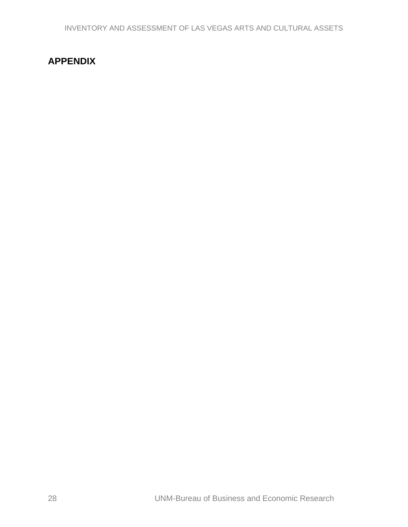# <span id="page-29-0"></span>**APPENDIX**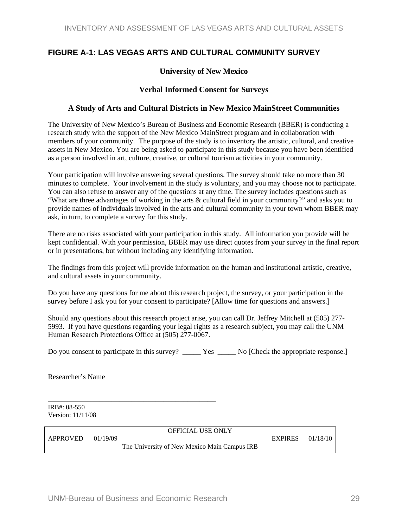#### <span id="page-30-0"></span>**FIGURE A-1: LAS VEGAS ARTS AND CULTURAL COMMUNITY SURVEY**

#### **University of New Mexico**

#### **Verbal Informed Consent for Surveys**

#### **A Study of Arts and Cultural Districts in New Mexico MainStreet Communities**

The University of New Mexico's Bureau of Business and Economic Research (BBER) is conducting a research study with the support of the New Mexico MainStreet program and in collaboration with members of your community. The purpose of the study is to inventory the artistic, cultural, and creative assets in New Mexico. You are being asked to participate in this study because you have been identified as a person involved in art, culture, creative, or cultural tourism activities in your community.

Your participation will involve answering several questions. The survey should take no more than 30 minutes to complete. Your involvement in the study is voluntary, and you may choose not to participate. You can also refuse to answer any of the questions at any time. The survey includes questions such as "What are three advantages of working in the arts & cultural field in your community?" and asks you to provide names of individuals involved in the arts and cultural community in your town whom BBER may ask, in turn, to complete a survey for this study.

There are no risks associated with your participation in this study. All information you provide will be kept confidential. With your permission, BBER may use direct quotes from your survey in the final report or in presentations, but without including any identifying information.

The findings from this project will provide information on the human and institutional artistic, creative, and cultural assets in your community.

Do you have any questions for me about this research project, the survey, or your participation in the survey before I ask you for your consent to participate? [Allow time for questions and answers.]

Should any questions about this research project arise, you can call Dr. Jeffrey Mitchell at (505) 277- 5993. If you have questions regarding your legal rights as a research subject, you may call the UNM Human Research Protections Office at (505) 277-0067.

Do you consent to participate in this survey? \_\_\_\_\_ Yes \_\_\_\_\_ No [Check the appropriate response.]

Researcher's Name

\_\_\_\_\_\_\_\_\_\_\_\_\_\_\_\_\_\_\_\_\_\_\_\_\_\_\_\_\_\_\_\_\_\_\_\_\_\_\_\_\_\_ IRB#: 08-550 Version: 11/11/08

|                       | <b>OFFICIAL USE ONLY</b>                     |                         |  |
|-----------------------|----------------------------------------------|-------------------------|--|
| $APPROVED \t01/19/09$ |                                              | <b>EXPIRES</b> 01/18/10 |  |
|                       | The University of New Mexico Main Campus IRB |                         |  |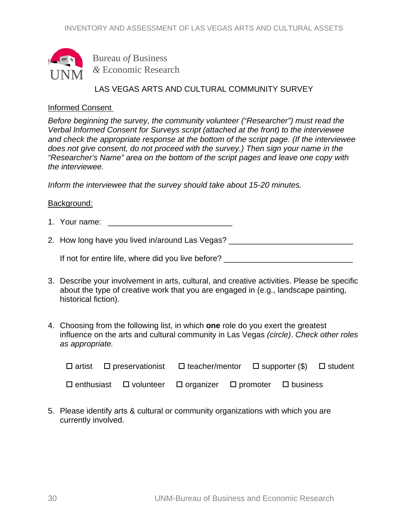

Bureau *of* Business *&* Economic Research

LAS VEGAS ARTS AND CULTURAL COMMUNITY SURVEY

#### Informed Consent

*Before beginning the survey, the community volunteer ("Researcher") must read the Verbal Informed Consent for Surveys script (attached at the front) to the interviewee and check the appropriate response at the bottom of the script page. (If the interviewee does not give consent, do not proceed with the survey.) Then sign your name in the "Researcher's Name" area on the bottom of the script pages and leave one copy with the interviewee.* 

*Inform the interviewee that the survey should take about 15-20 minutes.*

#### Background:

- 1. Your name:  $\blacksquare$
- 2. How long have you lived in/around Las Vegas? \_\_\_\_\_\_\_\_\_\_\_\_\_\_\_\_\_\_\_\_\_\_\_\_\_\_\_\_\_\_\_\_

| If not for entire life, where did you live before? |  |
|----------------------------------------------------|--|
|----------------------------------------------------|--|

- 3. Describe your involvement in arts, cultural, and creative activities. Please be specific about the type of creative work that you are engaged in (e.g., landscape painting, historical fiction).
- 4. Choosing from the following list, in which **one** role do you exert the greatest influence on the arts and cultural community in Las Vegas *(circle)*. *Check other roles as appropriate.*

|  |  | $\Box$ artist $\Box$ preservationist $\Box$ teacher/mentor $\Box$ supporter (\$) $\Box$ student |  |  |
|--|--|-------------------------------------------------------------------------------------------------|--|--|
|  |  | $\Box$ enthusiast $\Box$ volunteer $\Box$ organizer $\Box$ promoter $\Box$ business             |  |  |

5. Please identify arts & cultural or community organizations with which you are currently involved.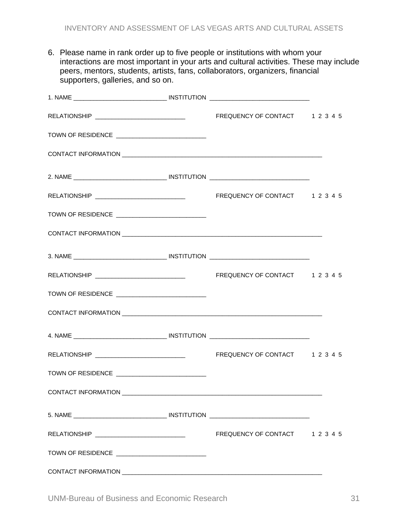6. Please name in rank order up to five people or institutions with whom your interactions are most important in your arts and cultural activities. These may include peers, mentors, students, artists, fans, collaborators, organizers, financial supporters, galleries, and so on.

| TOWN OF RESIDENCE ________________________________ |                                |  |
|----------------------------------------------------|--------------------------------|--|
|                                                    |                                |  |
|                                                    |                                |  |
|                                                    |                                |  |
|                                                    |                                |  |
|                                                    |                                |  |
|                                                    |                                |  |
|                                                    |                                |  |
| TOWN OF RESIDENCE ________________________________ |                                |  |
|                                                    |                                |  |
|                                                    |                                |  |
|                                                    |                                |  |
| TOWN OF RESIDENCE ______________________________   |                                |  |
|                                                    |                                |  |
|                                                    |                                |  |
|                                                    | FREQUENCY OF CONTACT 1 2 3 4 5 |  |
| TOWN OF RESIDENCE ______________________________   |                                |  |
|                                                    |                                |  |